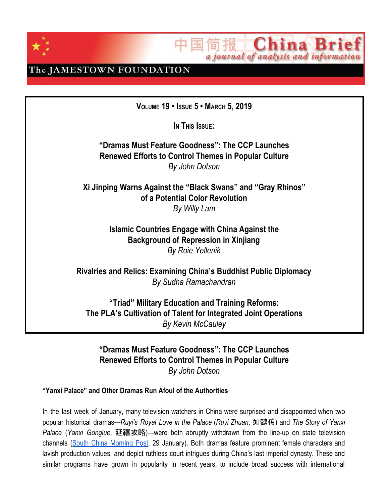



The JAMESTOWN FOUNDATION

**VOLUME 19 • ISSUE 5 • MARCH 5, 2019**

 $I<sub>M</sub>$ **T** $H$ **IS ISSUE**:

**"Dramas Must Feature Goodness": The CCP Launches Renewed Efforts to Control Themes in Popular Culture** *By John Dotson*

**Xi Jinping Warns Against the "Black Swans" and "Gray Rhinos" of a Potential Color Revolution** *By Willy Lam*

> **Islamic Countries Engage with China Against the Background of Repression in Xinjiang** *By Roie Yellenik*

**Rivalries and Relics: Examining China's Buddhist Public Diplomacy** *By Sudha Ramachandran*

**"Triad" Military Education and Training Reforms: The PLA's Cultivation of Talent for Integrated Joint Operations** *By Kevin McCauley*

**"Dramas Must Feature Goodness": The CCP Launches Renewed Efforts to Control Themes in Popular Culture** *By John Dotson*

**"Yanxi Palace" and Other Dramas Run Afoul of the Authorities**

In the last week of January, many television watchers in China were surprised and disappointed when two popular historical dramas—*Ruyi's Royal Love in the Palace* (*Ruyi Zhuan*, 如懿传) and *The Story of Yanxi Palace* (*Yanxi Gonglue*, 延禧攻略)—were both abruptly withdrawn from the line-up on state television channels (South China [Morning](https://www.scmp.com/news/china/society/article/2183885/yanxi-palace-drama-chinese-state-media-declares-war-period-shows) Post, 29 January). Both dramas feature prominent female characters and lavish production values, and depict ruthless court intrigues during China's last imperial dynasty. These and similar programs have grown in popularity in recent years, to include broad success with international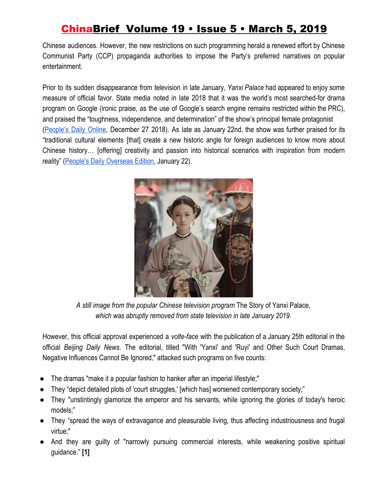Chinese audiences. However, the new restrictions on such programming herald a renewed effort by Chinese Communist Party (CCP) propaganda authorities to impose the Party's preferred narratives on popular entertainment.

Prior to its sudden disappearance from television in late January, *Yanxi Palace* had appeared to enjoy some measure of official favor. State media noted in late 2018 that it was the world's most searched-for drama program on Google (ironic praise, as the use of Google's search engine remains restricted within the PRC), and praised the "toughness, independence, and determination" of the show's principal female protagonist [\(People's](http://en.people.cn/n3/2018/1227/c90000-9532382.html) Daily Online, December 27 2018). As late as January 22nd, the show was further praised for its "traditional cultural elements [that] create a new historic angle for foreign audiences to know more about Chinese history… [offering] creativity and passion into historical scenarios with inspiration from modern reality" [\(People's Daily Overseas Edition](http://en.people.cn/n3/2019/0122/c90000-9540426.html), January 22).



*A still image from the popular Chinese television program* The Story of Yanxi Palace*, which was abruptly removed from state television in late January 2019.*

However, this official approval experienced a *volte-face* with the publication of a January 25th editorial in the official *Beijing Daily News*. The editorial, titled "With 'Yanxi' and 'Ruyi' and Other Such Court Dramas, Negative Influences Cannot Be Ignored," attacked such programs on five counts:

- The dramas "make it a popular fashion to hanker after an imperial lifestyle;"
- They "depict detailed plots of 'court struggles,' [which has] worsened contemporary society;"
- They "unstintingly glamorize the emperor and his servants, while ignoring the glories of today's heroic models;"
- They "spread the ways of extravagance and pleasurable living, thus affecting industriousness and frugal virtue;"
- And they are guilty of "narrowly pursuing commercial interests, while weakening positive spiritual guidance." **[1]**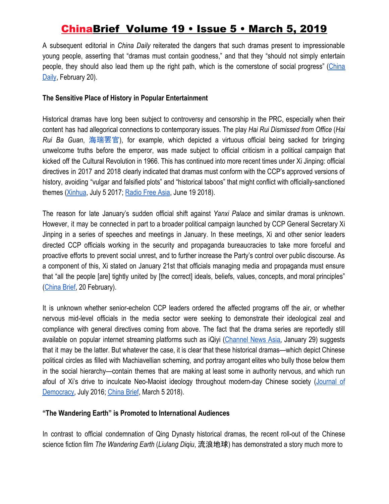A subsequent editorial in *China Daily* reiterated the dangers that such dramas present to impressionable young people, asserting that "dramas must contain goodness," and that they "should not simply entertain people, they should also lead them up the right path, which is the cornerstone of social progress" ([China](http://www.chinadaily.com.cn/a/201902/20/WS5c6c8be8a3106c65c34ea338.html) [Daily](http://www.chinadaily.com.cn/a/201902/20/WS5c6c8be8a3106c65c34ea338.html), February 20).

#### **The Sensitive Place of History in Popular Entertainment**

Historical dramas have long been subject to controversy and censorship in the PRC, especially when their content has had allegorical connections to contemporary issues. The play *Hai Rui Dismissed from Office* (*Hai Rui Ba Guan*, [海](https://en.wiktionary.org/wiki/%E6%B5%B7)[瑞](https://en.wiktionary.org/wiki/%E7%91%9E)[罢](https://en.wiktionary.org/wiki/%E7%BD%A2)[官](https://en.wiktionary.org/wiki/%E5%AE%98)), for example, which depicted a virtuous official being sacked for bringing unwelcome truths before the emperor, was made subject to official criticism in a political campaign that kicked off the Cultural Revolution in 1966. This has continued into more recent times under Xi Jinping: official directives in 2017 and 2018 clearly indicated that dramas must conform with the CCP's approved versions of history, avoiding "vulgar and falsified plots" and "historical taboos" that might conflict with officially-sanctioned themes [\(Xinhua,](http://www.xinhuanet.com/english/2017-07/05/c_136419977.htm) July 5 2017[;](https://www.rfa.org/english/news/china/china-to-clamp-down-on-magic-demons-historical-taboos-in-tv-dramas-06192018115509.html) [Radio Free Asia,](https://www.rfa.org/english/news/china/china-to-clamp-down-on-magic-demons-historical-taboos-in-tv-dramas-06192018115509.html) June 19 2018).

The reason for late January's sudden official shift against *Yanxi Palace* and similar dramas is unknown. However, it may be connected in part to a broader political campaign launched by CCP General Secretary Xi Jinping in a series of speeches and meetings in January. In these meetings, Xi and other senior leaders directed CCP officials working in the security and propaganda bureaucracies to take more forceful and proactive efforts to prevent social unrest, and to further increase the Party's control over public discourse. As a component of this, Xi stated on January 21st that officials managing media and propaganda must ensure that "all the people [are] tightly united by [the correct] ideals, beliefs, values, concepts, and moral principles" [\(China Brief,](https://jamestown.org/program/china-brief-early-warning-xi-jinping-warns-against-the-black-swans-and-gray-rhinos-of-a-possible-color-revolution/) 20 February).

It is unknown whether senior-echelon CCP leaders ordered the affected programs off the air, or whether nervous mid-level officials in the media sector were seeking to demonstrate their ideological zeal and compliance with general directives coming from above. The fact that the drama series are reportedly still available on popular internet streaming platforms such as iQiyi [\(Channel](https://cnalifestyle.channelnewsasia.com/trending/yanxi-palace-ruyi-royal-negative-influence-on-society-chinese-tv-11178388) News Asia, January 29) suggests that it may be the latter. But whatever the case, it is clear that these historical dramas—which depict Chinese political circles as filled with Machiavellian scheming, and portray arrogant elites who bully those below them in the social hierarchy—contain themes that are making at least some in authority nervous, and which run afoul of Xi's drive to inculcate Neo-Maoist ideology throughout modern-day Chinese society ([Journal](https://www.journalofdemocracy.org/article/xi-jinping%E2%80%99s-maoist-revival) of [Democracy,](https://www.journalofdemocracy.org/article/xi-jinping%E2%80%99s-maoist-revival) July 2016; [China Brief](https://jamestown.org/program/xi-jinping-steers-china-back-days-mao-zedong/), March 5 2018).

#### **"The Wandering Earth" is Promoted to International Audiences**

In contrast to official condemnation of Qing Dynasty historical dramas, the recent roll-out of the Chinese science fiction film *The Wandering Earth* (*Liulang Diqiu*, 流浪地球) has demonstrated a story much more to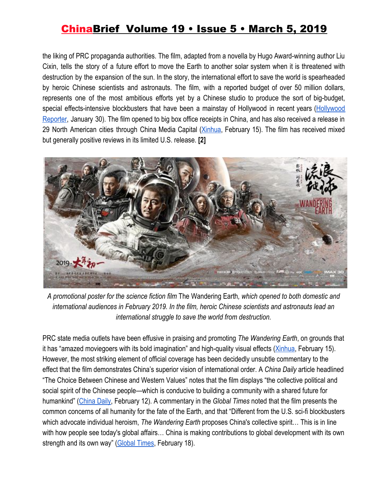the liking of PRC propaganda authorities. The film, adapted from a novella by Hugo Award-winning author Liu Cixin, tells the story of a future effort to move the Earth to another solar system when it is threatened with destruction by the expansion of the sun. In the story, the international effort to save the world is spearheaded by heroic Chinese scientists and astronauts. The film, with a reported budget of over 50 million dollars, represents one of the most ambitious efforts yet by a Chinese studio to produce the sort of big-budget, special effects-intensive blockbusters that have been a mainstay of Hollywood in recent years ([Hollywood](https://www.hollywoodreporter.com/heat-vision/chinese-sci-fi-movie-wandering-earth-get-us-release-1181473) [Reporter](https://www.hollywoodreporter.com/heat-vision/chinese-sci-fi-movie-wandering-earth-get-us-release-1181473), January 30). The film opened to big box office receipts in China, and has also received a release in 29 North American cities through China Media Capital [\(Xinhua](http://en.people.cn/n3/2019/0215/c90000-9546808.html), February 15). The film has received mixed but generally positive reviews in its limited U.S. release. **[2]**



*A promotional poster for the science fiction film* The Wandering Earth*, which opened to both domestic and international audiences in February 2019. In the film, heroic Chinese scientists and astronauts lead an international struggle to save the world from destruction.*

PRC state media outlets have been effusive in praising and promoting *The Wandering Earth*, on grounds that it has "amazed moviegoers with its bold imagination" and high-quality visual effects ([Xinhua](http://en.people.cn/n3/2019/0215/c90000-9546808.html), February 15). However, the most striking element of official coverage has been decidedly unsubtle commentary to the effect that the film demonstrates China's superior vision of international order. A *China Daily* article headlined "The Choice Between Chinese and Western Values" notes that the film displays "the collective political and social spirit of the Chinese people—which is conducive to building a community with a shared future for humankind" [\(China Daily,](http://www.chinadaily.com.cn/a/201902/12/WS5c61fe81a3106c65c34e8c60.html) February 12). A commentary in the *Global Times* noted that the film presents the common concerns of all humanity for the fate of the Earth, and that "Different from the U.S. sci-fi blockbusters which advocate individual heroism, *The Wandering Earth* proposes China's collective spirit… This is in line with how people see today's global affairs… China is making contributions to global development with its own strength and its own way" [\(Global Times](http://www.globaltimes.cn/content/1139278.shtml), February 18).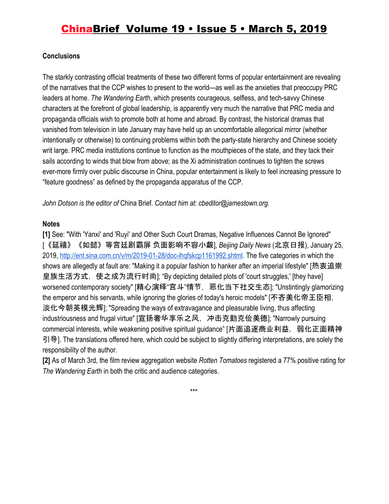### **Conclusions**

The starkly contrasting official treatments of these two different forms of popular entertainment are revealing of the narratives that the CCP wishes to present to the world—as well as the anxieties that preoccupy PRC leaders at home. *The Wandering Earth*, which presents courageous, selfless, and tech-savvy Chinese characters at the forefront of global leadership, is apparently very much the narrative that PRC media and propaganda officials wish to promote both at home and abroad. By contrast, the historical dramas that vanished from television in late January may have held up an uncomfortable allegorical mirror (whether intentionally or otherwise) to continuing problems within both the party-state hierarchy and Chinese society writ large. PRC media institutions continue to function as the mouthpieces of the state, and they tack their sails according to winds that blow from above; as the Xi administration continues to tighten the screws ever-more firmly over public discourse in China, popular entertainment is likely to feel increasing pressure to "feature goodness" as defined by the propaganda apparatus of the CCP.

*John Dotson is the editor of* China Brief*. Contact him at: cbeditor@jamestown.org.*

#### **Notes**

**[1]** See: "With 'Yanxi' and 'Ruyi' and Other Such Court Dramas, Negative Influences Cannot Be Ignored" [《延禧》《如懿》等宫廷剧霸屏 负面影响不容小觑], *Beijing Daily News* (北京日报), January 25, 2019, <http://ent.sina.com.cn/v/m/2019-01-28/doc-ihqfskcp1161992.shtml>. The five categories in which the shows are allegedly at fault are: "Making it a popular fashion to hanker after an imperial lifestyle" [热衷追崇 皇族生活方式, 使之成为流行时尚]; "By depicting detailed plots of 'court struggles,' [they have] worsened contemporary society" [精心演绎"宫斗"情节, 恶化当下社交生态]; "Unstintingly glamorizing the emperor and his servants, while ignoring the glories of today's heroic models" [不吝美化帝王臣相, 淡化今朝英模光辉]; "Spreading the ways of extravagance and pleasurable living, thus affecting industriousness and frugal virtue" [宣扬奢华享乐之风,冲击克勤克俭美德]; "Narrowly pursuing commercial interests, while weakening positive spiritual guidance" [片面追逐商业利益, 弱化正面精神 引导]. The translations offered here, which could be subject to slightly differing interpretations, are solely the responsibility of the author.

**[2]** As of March 3rd, the film review aggregation website *Rotten Tomatoes* registered a 77% positive rating for *The Wandering Earth* in both the critic and audience categories.

\*\*\*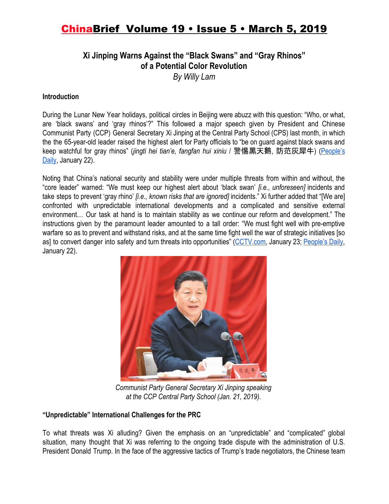### **Xi Jinping Warns Against the "Black Swans" and "Gray Rhinos" of a Potential Color Revolution**

*By Willy Lam*

#### **Introduction**

During the Lunar New Year holidays, political circles in Beijing were abuzz with this question: "Who, or what, are 'black swans' and 'gray rhinos'?" This followed a major speech given by President and Chinese Communist Party (CCP) General Secretary Xi Jinping at the Central Party School (CPS) last month, in which the the 65-year-old leader raised the highest alert for Party officials to "be on guard against black swans and keep watchful for gray rhinos" (*jingti hei tian'e, fangfan hui xiniu* / 警惕黑天鹅, 防范灰犀牛) ([People's](http://paper.people.com.cn/rmrbhwb/html/2019-01/22/content_1905265.htm) [Daily](http://paper.people.com.cn/rmrbhwb/html/2019-01/22/content_1905265.htm), January 22).

Noting that China's national security and stability were under multiple threats from within and without, the "core leader" warned: "We must keep our highest alert about 'black swan' *[i.e., unforeseen]* incidents and take steps to prevent 'gray rhino' *[i.e., known risks that are ignored]* incidents." Xi further added that "[We are] confronted with unpredictable international developments and a complicated and sensitive external environment… Our task at hand is to maintain stability as we continue our reform and development." The instructions given by the paramount leader amounted to a tall order: "We must fight well with pre-emptive warfare so as to prevent and withstand risks, and at the same time fight well the war of strategic initiatives [so as] to convert danger into safety and turn threats into opportunities" [\(CCTV.com](http://news.cctv.com/2019/01/23/ARTIJcMfhBGdAcbDmLDhf1Hj190123.shtml), January 23; [People's](http://paper.people.com.cn/rmrbhwb/html/2019-01/22/content_1905265.htm) Daily, January 22).



*Communist Party General Secretary Xi Jinping speaking at the CCP Central Party School (Jan. 21, 2019).*

#### **"Unpredictable" International Challenges for the PRC**

To what threats was Xi alluding? Given the emphasis on an "unpredictable" and "complicated" global situation, many thought that Xi was referring to the ongoing trade dispute with the administration of U.S. President Donald Trump. In the face of the aggressive tactics of Trump's trade negotiators, the Chinese team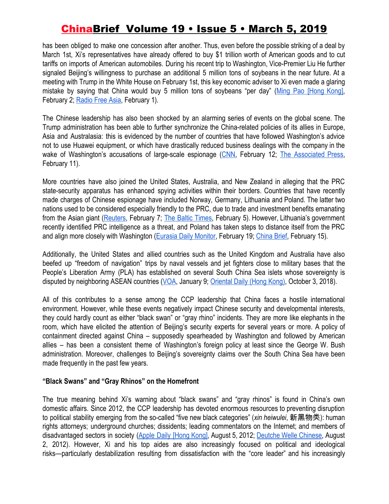has been obliged to make one concession after another. Thus, even before the possible striking of a deal by March 1st, Xi's representatives have already offered to buy \$1 trillion worth of American goods and to cut tariffs on imports of American automobiles. During his recent trip to Washington, Vice-Premier Liu He further signaled Beijing's willingness to purchase an additional 5 million tons of soybeans in the near future. At a meeting with Trump in the White House on February 1st, this key economic adviser to Xi even made a glaring mistake by saying that China would buy 5 million tons of soybeans "per day" (Ming Pao [Hong [Kong\],](https://news.mingpao.com/pns/%E4%B8%AD%E5%9C%8B/article/20190202/s00013/1549046262216/%E5%8A%89%E9%B6%B4%E6%99%A4%E7%89%B9%E6%9C%97%E6%99%AE-%E6%89%BF%E8%AB%BE%E8%B3%BC500%E8%90%AC%E5%99%B8%E5%A4%A7%E8%B1%86) February 2[;](http://trad.cn.rfi.fr/%E4%B8%AD%E5%9C%8B/20190201-%E5%8A%89%E9%B6%B4%E8%A8%B1%E8%AB%BE%E8%B3%BC%E7%BE%8E%E5%B7%A8%E9%A1%8D%E5%A4%A7%E8%B1%86-%E7%89%B9%E6%9C%97%E6%99%AE%E8%A2%AB%E6%8C%87%E8%81%BD%E6%88%90%E6%AF%8F%E6%97%A5500%E8%90%AC%E5%99%B8%E6%A8%82%E5%A3%9E) [Radio Free Asia](http://trad.cn.rfi.fr/%E4%B8%AD%E5%9C%8B/20190201-%E5%8A%89%E9%B6%B4%E8%A8%B1%E8%AB%BE%E8%B3%BC%E7%BE%8E%E5%B7%A8%E9%A1%8D%E5%A4%A7%E8%B1%86-%E7%89%B9%E6%9C%97%E6%99%AE%E8%A2%AB%E6%8C%87%E8%81%BD%E6%88%90%E6%AF%8F%E6%97%A5500%E8%90%AC%E5%99%B8%E6%A8%82%E5%A3%9E), February 1).

The Chinese leadership has also been shocked by an alarming series of events on the global scene. The Trump administration has been able to further synchronize the China-related policies of its allies in Europe, Asia and Australasia: this is evidenced by the number of countries that have followed Washington's advice not to use Huawei equipment, or which have drastically reduced business dealings with the company in the wake of Washington's accusations of large-scale espionage [\(CNN](https://edition.cnn.com/2019/02/11/tech/huawei-mike-pompeo-hungary/index.html), February 12[;](https://www.washingtonpost.com/world/asia_pacific/pompeo-warns-of-risks-to-us-cooperation-over-huawei/2019/02/11/3d67669c-2e17-11e9-8781-763619f12cb4_story.html?utm_term=.1e668c8b753f) The [Associated](https://www.washingtonpost.com/world/asia_pacific/pompeo-warns-of-risks-to-us-cooperation-over-huawei/2019/02/11/3d67669c-2e17-11e9-8781-763619f12cb4_story.html?utm_term=.1e668c8b753f) Press, February 11).

More countries have also joined the United States, Australia, and New Zealand in alleging that the PRC state-security apparatus has enhanced spying activities within their borders. Countries that have recently made charges of Chinese espionage have included Norway, Germany, Lithuania and Poland. The latter two nations used to be considered especially friendly to the PRC, due to trade and investment benefits emanating from the Asian giant ([Reuters,](https://www.scmp.com/news/world/europe/article/2185218/chinese-intelligence-hacked-norwegian-software-firm-visma-steal) February 7; [T](https://www.baltictimes.com/intelligence_warns_of_china_s_increasingly_aggressive_spying_in_lithuania/)he Baltic [Times,](https://www.baltictimes.com/intelligence_warns_of_china_s_increasingly_aggressive_spying_in_lithuania/) February 5). However, Lithuania's government recently identified PRC intelligence as a threat, and Poland has taken steps to distance itself from the PRC and align more closely with Washington ([Eurasia Daily Monitor,](https://jamestown.org/program/lithuania-adds-china-to-list-of-foreign-intelligence-threats/) February 19; [China Brief](https://jamestown.org/program/the-161-initiative-and-polands-disengagement-from-china/), February 15).

Additionally, the United States and allied countries such as the United Kingdom and Australia have also beefed up "freedom of navigation" trips by naval vessels and jet fighters close to military bases that the People's Liberation Army (PLA) has established on several South China Sea islets whose sovereignty is disputed by neighboring ASEAN countries [\(VOA](https://www.voachinese.com/a/england-south-china-sea-base-20190109/4735583.html), January 9; [Oriental Daily \(Hong Kong\)](https://hk.on.cc/hk/bkn/cnt/cnnews/20181003/bkn-20181003134544112-1003_00952_001.html), October 3, 2018).

All of this contributes to a sense among the CCP leadership that China faces a hostile international environment. However, while these events negatively impact Chinese security and developmental interests, they could hardly count as either "black swan" or "gray rhino" incidents. They are more like elephants in the room, which have elicited the attention of Beijing's security experts for several years or more. A policy of containment directed against China – supposedly spearheaded by Washington and followed by American allies – has been a consistent theme of Washington's foreign policy at least since the George W. Bush administration. Moreover, challenges to Beijing's sovereignty claims over the South China Sea have been made frequently in the past few years.

#### **"Black Swans" and "Gray Rhinos" on the Homefront**

The true meaning behind Xi's warning about "black swans" and "gray rhinos" is found in China's own domestic affairs. Since 2012, the CCP leadership has devoted enormous resources to preventing disruption to political stability emerging from the so-called "five new black categories" (*xin heiwulei*, 新黑物类): human rights attorneys; underground churches; dissidents; leading commentators on the Internet; and members of disadvantaged sectors in society (Apple Daily [\[Hong](https://hk.news.appledaily.com/international/daily/article/20120805/16576327) Kong], August 5, 2012[;](https://www.dw.com/zh/%E6%96%B0%E9%BB%91%E4%BA%94%E7%B1%BB%E6%94%B9%E5%8F%98%E4%B8%AD%E5%9B%BD/a-16139544) [Deutche](https://www.dw.com/zh/%E6%96%B0%E9%BB%91%E4%BA%94%E7%B1%BB%E6%94%B9%E5%8F%98%E4%B8%AD%E5%9B%BD/a-16139544) Welle Chinese, August 2, 2012). However, Xi and his top aides are also increasingly focused on political and ideological risks—particularly destabilization resulting from dissatisfaction with the "core leader" and his increasingly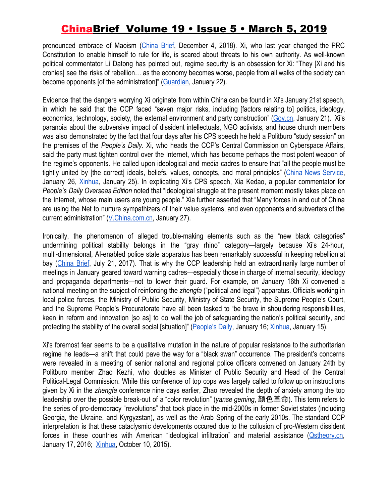pronounced embrace of Maoism [\(China](https://jamestown.org/program/who-are-xi-jinpings-enemies/) Brief, December 4, 2018). Xi, who last year changed the PRC Constitution to enable himself to rule for life, is scared about threats to his own authority. As well-known political commentator Li Datong has pointed out, regime security is an obsession for Xi: "They [Xi and his cronies] see the risks of rebellion… as the economy becomes worse, people from all walks of the society can become opponents [of the administration]" [\(Guardian](https://www.theguardian.com/world/2019/jan/22/xi-warns-china-to-maintain-political-security-against-black-swans-of-economic-volatility), January 22).

Evidence that the dangers worrying Xi originate from within China can be found in Xi's January 21st speech, in which he said that the CCP faced "seven major risks, including [factors relating to] politics, ideology, economics, technology, society, the external environment and party construction" [\(Gov.cn](http://www.gov.cn/xinwen/2019-01/21/content_5359898.htm?tdsourcetag=s_pcqq_aiomsg), January 21). Xi's paranoia about the subversive impact of dissident intellectuals, NGO activists, and house church members was also demonstrated by the fact that four days after his CPS speech he held a Politburo "study session" on the premises of the *People's Daily*. Xi, who heads the CCP's Central Commission on Cyberspace Affairs, said the party must tighten control over the Internet, which has become perhaps the most potent weapon of the regime's opponents. He called upon ideological and media cadres to ensure that "all the people must be tightly united by [the correct] ideals, beliefs, values, concepts, and moral principles" (China News [Service,](http://www.chinanews.com/gn/2019/01-26/8740076.shtml) January 26, [Xinhua](http://www.xinhuanet.com/politics/leaders/2019-01/25/c_1124044810_4.htm), January 25). In explicating Xi's CPS speech, Xia Kedao, a popular commentator for *People's Daily Overseas Edition* noted that "ideological struggle at the present moment mostly takes place on the Internet, whose main users are young people." Xia further asserted that "Many forces in and out of China are using the Net to nurture sympathizers of their value systems, and even opponents and subverters of the current administration" ([V.China.com.cn](http://v.china.com.cn/news/2019-01/27/content_74414513.htm), January 27).

Ironically, the phenomenon of alleged trouble-making elements such as the "new black categories" undermining political stability belongs in the "gray rhino" category—largely because Xi's 24-hour, multi-dimensional, AI-enabled police state apparatus has been remarkably successful in keeping rebellion at bay [\(China](https://jamestown.org/program/beijing-harnesses-big-data-ai-to-perfect-the-police-state/) Brief, July 21, 2017). That is why the CCP leadership held an extraordinarily large number of meetings in January geared toward warning cadres—especially those in charge of internal security, ideology and propaganda departments—not to lower their guard. For example, on January 16th Xi convened a national meeting on the subject of reinforcing the *zhengfa* ("political and legal") apparatus. Officials working in local police forces, the Ministry of Public Security, Ministry of State Security, the Supreme People's Court, and the Supreme People's Procuratorate have all been tasked to "be brave in shouldering responsibilities, keen in reform and innovation [so as] to do well the job of safeguarding the nation's political security, and protecting the stability of the overall social [situation]" [\(People's Daily,](http://politics.people.com.cn/n1/2019/0116/c1024-30559256.html?form=rect) January 16[;](http://www.xinhuanet.com/politics/leaders/2019-01/25/c_1124044208.htm) [Xinhua,](http://www.xinhuanet.com/politics/leaders/2019-01/25/c_1124044208.htm) January 15).

Xi's foremost fear seems to be a qualitative mutation in the nature of popular resistance to the authoritarian regime he leads—a shift that could pave the way for a "black swan" occurrence. The president's concerns were revealed in a meeting of senior national and regional police officers convened on January 24th by Politburo member Zhao Kezhi, who doubles as Minister of Public Security and Head of the Central Political-Legal Commission. While this conference of top cops was largely called to follow up on instructions given by Xi in the *zhengfa* conference nine days earlier, Zhao revealed the depth of anxiety among the top leadership over the possible break-out of a "color revolution" (*yanse geming*, 颜色革命). This term refers to the series of pro-democracy "revolutions" that took place in the mid-2000s in former Soviet states (including Georgia, the Ukraine, and Kyrgyzstan), as well as the Arab Spring of the early 2010s. The standard CCP interpretation is that these cataclysmic developments occured due to the collusion of pro-Western dissident forces in these countries with American "ideological infiltration" and material assistance ([Qstheory.cn,](http://www.qstheory.cn/llqikan/2016-01/17/c_1117800282.htm) January 17, 2016; [Xinhua,](http://www.xinhuanet.com/world/2015-10/10/c_128303420.htm) October 10, 2015).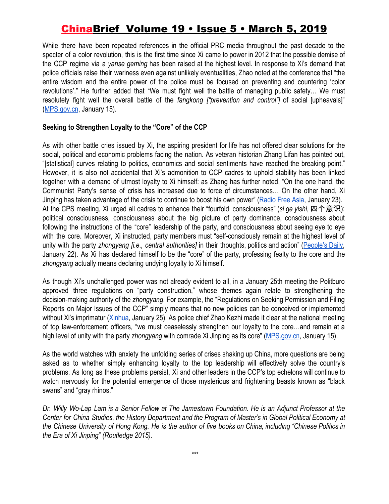While there have been repeated references in the official PRC media throughout the past decade to the specter of a color revolution, this is the first time since Xi came to power in 2012 that the possible demise of the CCP regime via a *yanse geming* has been raised at the highest level. In response to Xi's demand that police officials raise their wariness even against unlikely eventualities, Zhao noted at the conference that "the entire wisdom and the entire power of the police must be focused on preventing and countering 'color revolutions'." He further added that "We must fight well the battle of managing public safety… We must resolutely fight well the overall battle of the *fangkong ["prevention and control"]* of social [upheavals]" [\(MPS.gov.cn](http://www.mps.gov.cn/n2255079/n5967516/n5981117/n5981148/c5989667/content.html), January 15).

#### **Seeking to Strengthen Loyalty to the "Core" of the CCP**

As with other battle cries issued by Xi, the aspiring president for life has not offered clear solutions for the social, political and economic problems facing the nation. As veteran historian Zhang Lifan has pointed out, "[statistical] curves relating to politics, economics and social sentiments have reached the breaking point." However, it is also not accidental that Xi's admonition to CCP cadres to uphold stability has been linked together with a demand of utmost loyalty to Xi himself: as Zhang has further noted, "On the one hand, the Communist Party's sense of crisis has increased due to force of circumstances… On the other hand, Xi Jinping has taken advantage of the crisis to continue to boost his own power" ([Radio Free Asia,](https://www.rfa.org/cantonese/news/risk-01232019082604.html) January 23). At the CPS meeting, Xi urged all cadres to enhance their "fourfold consciousness" (*si ge yishi*, 四个意识): political consciousness, consciousness about the big picture of party dominance, consciousness about following the instructions of the "core" leadership of the party, and consciousness about seeing eye to eye with the core. Moreover, Xi instructed, party members must "self-consciously remain at the highest level of unity with the party *zhongyang [i.e., central authorities]* in their thoughts, politics and action" ([People's](http://paper.people.com.cn/rmrbhwb/html/2019-01/22/content_1905265.htm) Daily, January 22). As Xi has declared himself to be the "core" of the party, professing fealty to the core and the *zhongyang* actually means declaring undying loyalty to Xi himself.

As though Xi's unchallenged power was not already evident to all, in a January 25th meeting the Politburo approved three regulations on "party construction," whose themes again relate to strengthening the decision-making authority of the *zhongyang*. For example, the "Regulations on Seeking Permission and Filing Reports on Major Issues of the CCP" simply means that no new policies can be conceived or implemented without Xi's imprimatur ([Xinhua](http://www.xinhuanet.com/politics/leaders/2019-01/25/c_1124044063.htm), January 25). As police chief Zhao Kezhi made it clear at the national meeting of top law-enforcement officers, "we must ceaselessly strengthen our loyalty to the core…and remain at a high level of unity with the party *zhongyang* with comrade Xi Jinping as its core" [\(MPS.gov.cn,](http://www.mps.gov.cn/n2255079/n5967516/n5981117/n5981148/c5989667/content.html) January 15).

As the world watches with anxiety the unfolding series of crises shaking up China, more questions are being asked as to whether simply enhancing loyalty to the top leadership will effectively solve the country's problems. As long as these problems persist, Xi and other leaders in the CCP's top echelons will continue to watch nervously for the potential emergence of those mysterious and frightening beasts known as "black swans" and "gray rhinos."

Dr. Willy Wo-Lap Lam is a Senior Fellow at The Jamestown Foundation. He is an Adjunct Professor at the Center for China Studies, the History Department and the Program of Master's in Global Political Economy at the Chinese University of Hong Kong. He is the author of five books on China, including "Chinese Politics in *the Era of Xi Jinping" (Routledge 2015).*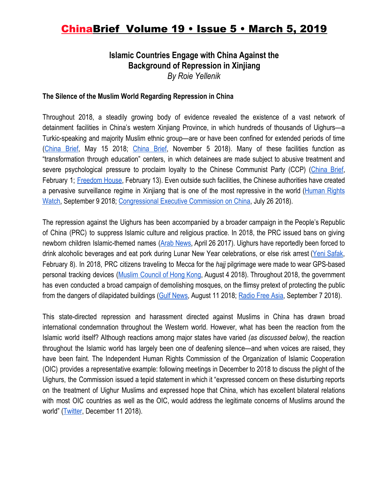### **Islamic Countries Engage with China Against the Background of Repression in Xinjiang** *By Roie Yellenik*

#### **The Silence of the Muslim World Regarding Repression in China**

Throughout 2018, a steadily growing body of evidence revealed the existence of a vast network of detainment facilities in China's western Xinjiang Province, in which hundreds of thousands of Uighurs—a Turkic-speaking and majority Muslim ethnic group—are or have been confined for extended periods of time [\(China](https://jamestown.org/program/evidence-for-chinas-political-re-education-campaign-in-xinjiang/) Brief, May 15 2018[;](https://jamestown.org/program/xinjiangs-re-education-and-securitization-campaign-evidence-from-domestic-security-budgets/) [China](https://jamestown.org/program/xinjiangs-re-education-and-securitization-campaign-evidence-from-domestic-security-budgets/) Brief, November 5 2018). Many of these facilities function as "transformation through education" centers, in which detainees are made subject to abusive treatment and severe psychological pressure to proclaim loyalty to the Chinese Communist Party (CCP) ([China](https://jamestown.org/program/the-learning-curve-how-communist-party-officials-are-applying-lessons-from-prior-transformation-campaigns-to-repression-in-xinjiang/) Brief, February 1; [Freedom](https://freedomhouse.org/article/joint-statement-calling-xinjiang-resolution-united-nations-human-rights-council) House, February 13). Even outside such facilities, the Chinese authorities have created a pervasive surveillance regime in Xinjiang that is one of the most repressive in the world ([Human](https://www.hrw.org/report/2018/09/09/eradicating-ideological-viruses/chinas-campaign-repression-against-xinjiangs) Rights [Watch,](https://www.hrw.org/report/2018/09/09/eradicating-ideological-viruses/chinas-campaign-repression-against-xinjiangs) September 9 2018; [Congressional Executive Commission on China](https://www.cecc.gov/events/hearings/surveillance-suppression-and-mass-detention-xinjiang%E2%80%99s-human-rights-crisis), July 26 2018).

The repression against the Uighurs has been accompanied by a broader campaign in the People's Republic of China (PRC) to suppress Islamic culture and religious practice. In 2018, the PRC issued bans on giving newborn children Islamic-themed names (Arab [News,](http://www.arabnews.com/node/1090416/world) April 26 2017). Uighurs have reportedly been forced to drink alcoholic beverages and eat pork during Lunar New Year celebrations, or else risk arrest (Yeni [Safak](https://www.yenisafak.com/en/world/uyghur-muslims-forced-to-drink-alcohol-eat-pork-by-chinese-officials-in-xinjiang-3474048), February 8). In 2018, PRC citizens traveling to Mecca for the *hajj* pilgrimage were made to wear GPS-based personal tracking devices (Muslim [Council](http://muslimcouncil.org.hk/11500-chinese-muslims-embark-on-hajj-this-year-with-gps-surveillance-from-chinese-government/) of Hong Kong, August 4 2018). Throughout 2018, the government has even conducted a broad campaign of demolishing mosques, on the flimsy pretext of protecting the public from the dangers of dilapidated buildings [\(Gulf News,](https://gulfnews.com/world/asia/mosque-protest-highlights-chinas-shrinking-religious-spaces-1.2264468) August 11 2018; [Radio Free Asia](https://www.rfa.org/english/news/uyghur/chinese-authorities-continue-to-destroy-mosques-in-xinjiang-09072018171910.html), September 7 2018).

This state-directed repression and harassment directed against Muslims in China has drawn broad international condemnation throughout the Western world. However, what has been the reaction from the Islamic world itself? Although reactions among major states have varied *(as discussed below)*, the reaction throughout the Islamic world has largely been one of deafening silence—and when voices are raised, they have been faint. The Independent Human Rights Commission of the Organization of Islamic Cooperation (OIC) provides a representative example: following meetings in December to 2018 to discuss the plight of the Uighurs, the Commission issued a tepid statement in which it "expressed concern on these disturbing reports on the treatment of [Uighur](https://twitter.com/hashtag/Uighur?src=hash) [Muslims](https://twitter.com/hashtag/Muslims?src=hash) and expressed hope that [China](https://twitter.com/hashtag/China?src=hash), which has excellent bilateral relations with most [OIC](https://twitter.com/hashtag/OIC?src=hash) countries as well as the [OIC,](https://twitter.com/hashtag/OIC?src=hash) would address the legitimate concerns of Muslims around the world" ([Twitter](https://twitter.com/OIC_OCI/status/1072399894743277568), December 11 2018).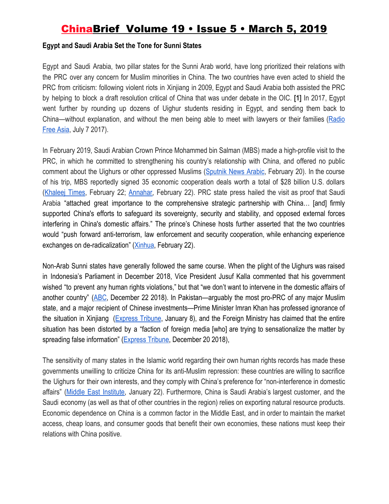#### **Egypt and Saudi Arabia Set the Tone for Sunni States**

Egypt and Saudi Arabia, two pillar states for the Sunni Arab world, have long prioritized their relations with the PRC over any concern for Muslim minorities in China. The two countries have even acted to shield the PRC from criticism: following violent riots in Xinjiang in 2009, Egypt and Saudi Arabia both assisted the PRC by helping to block a draft resolution critical of China that was under debate in the OIC. **[1]** In 2017, Egypt went further by rounding up dozens of Uighur students residing in Egypt, and sending them back to China—without explanation, and without the men being able to meet with lawyers or their families ([Radio](https://www.rfa.org/english/news/uyghur/students-07072017155035.html) [Free Asia](https://www.rfa.org/english/news/uyghur/students-07072017155035.html), July 7 2017).

In February 2019, Saudi Arabian Crown Prince Mohammed bin Salman (MBS) made a high-profile visit to the PRC, in which he committed to strengthening his country's relationship with China, and offered no public comment about the Uighurs or other oppressed Muslims [\(Sputnik](https://arabic.sputniknews.com/arab_world/201902201039202323-%D8%A7%D9%84%D8%B5%D9%8A%D9%86-%D8%A7%D9%84%D8%AA%D9%87%D8%AF%D8%A6%D8%A9-%D8%A7%D9%84%D8%B3%D8%B9%D9%88%D8%AF%D9%8A%D8%A9-%D8%A5%D9%8A%D8%B1%D8%A7%D9%86/) News Arabic, February 20). In the course of his trip, MBS reportedly signed 35 economic cooperation deals worth a total of \$28 billion U.S. dollars [\(Khaleej](https://www.khaleejtimes.com/business/local/saudi-arabia-and-china-sign-28-billion-worth-of-economic-agreements) Times, February 22[;](https://www.annahar.com/article/939968-%D8%A7%D9%84%D8%B3%D8%B9%D9%88%D8%AF%D9%8A%D8%A9-%D9%8A%D9%88%D9%82%D8%B9-%D9%85%D8%B0%D9%83%D8%B1%D8%A9-%D8%AA%D9%81%D8%A7%D9%87%D9%85-%D8%A8%D8%B4%D8%A3%D9%86-%D8%A7%D9%84%D8%B7%D8%A7%D9%82%D8%A9-%D8%A7%D9%84%D9%85%D8%AA%D8%AC%D8%AF%D8%AF%D8%A9-%D9%85%D8%B9-%D8%A7%D9%84%D8%B5%D9%8A%D9%86) [Annahar,](https://www.annahar.com/article/939968-%D8%A7%D9%84%D8%B3%D8%B9%D9%88%D8%AF%D9%8A%D8%A9-%D9%8A%D9%88%D9%82%D8%B9-%D9%85%D8%B0%D9%83%D8%B1%D8%A9-%D8%AA%D9%81%D8%A7%D9%87%D9%85-%D8%A8%D8%B4%D8%A3%D9%86-%D8%A7%D9%84%D8%B7%D8%A7%D9%82%D8%A9-%D8%A7%D9%84%D9%85%D8%AA%D8%AC%D8%AF%D8%AF%D8%A9-%D9%85%D8%B9-%D8%A7%D9%84%D8%B5%D9%8A%D9%86) February 22). PRC state press hailed the visit as proof that Saudi Arabia "attached great importance to the comprehensive strategic partnership with China… [and] firmly supported China's efforts to safeguard its sovereignty, security and stability, and opposed external forces interfering in China's domestic affairs." The prince's Chinese hosts further asserted that the two countries would "push forward anti-terrorism, law enforcement and security cooperation, while enhancing experience exchanges on de-radicalization" ([Xinhua](http://www.xinhuanet.com/english/2019-02/22/c_137842899.htm), February 22).

Non-Arab Sunni states have generally followed the same course. When the plight of the Uighurs was raised in Indonesia's Parliament in December 2018, Vice President Jusuf Kalla commented that his government wished "to prevent any human rights violations," but that "we don't want to intervene in the domestic affairs of another country" ([ABC,](https://www.abc.net.au/news/2018-12-23/muslim-governments-stayed-silent-on-chinese-minority-uyghur/10630822) December 22 2018). In Pakistan—arguably the most pro-PRC of any major Muslim state, and a major recipient of Chinese investments—Prime Minister Imran Khan has professed ignorance of the situation in Xinjiang ([Express](https://tribune.com.pk/story/1883992/1-pm-doesnt-know-much-condition-uighurs-china/) Tribune, January 8), and the Foreign Ministry has claimed that the entire situation has been distorted by a "faction of foreign media [who] are trying to sensationalize the matter by spreading false information" [\(Express Tribune](https://tribune.com.pk/story/1871208/3-growing-outcry-china-detention-camps-sensationalised-foreign-office/), December 20 2018),

The sensitivity of many states in the Islamic world regarding their own human rights records has made these governments unwilling to criticize China for its anti-Muslim repression: these countries are willing to sacrifice the Uighurs for their own interests, and they comply with China's preference for "non-interference in domestic affairs" (Middle East [Institute](https://www.mei.edu/publications/arab-gulf-states-silent-chinas-xinjiang-crackdown.), January 22). Furthermore, China is Saudi Arabia's largest customer, and the Saudi economy (as well as that of other countries in the region) relies on exporting natural resource products. Economic dependence on China is a common factor in the Middle East, and in order to maintain the market access, cheap loans, and consumer goods that benefit their own economies, these nations must keep their relations with China positive.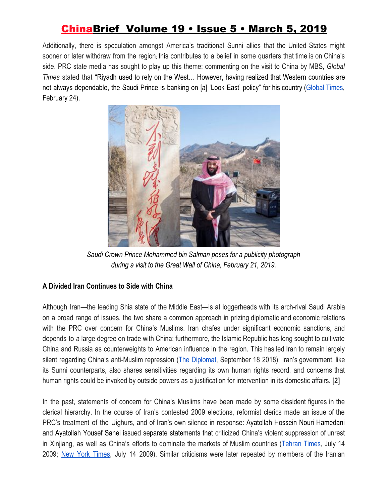Additionally, there is speculation amongst America's traditional Sunni allies that the United States might sooner or later withdraw from the region; this contributes to a belief in some quarters that time is on China's side. PRC state media has sought to play up this theme: commenting on the visit to China by MBS, *Global Times* stated that "Riyadh used to rely on the West… However, having realized that Western countries are not always dependable, the Saudi Prince is banking on [a] 'Look East' policy" for his country [\(Global](http://www.globaltimes.cn/content/1139895.shtml) Times, February 24).



*Saudi Crown Prince Mohammed bin Salman poses for a publicity photograph during a visit to the Great Wall of China, February 21, 2019.*

#### **A Divided Iran Continues to Side with China**

Although Iran—the leading Shia state of the Middle East—is at loggerheads with its arch-rival Saudi Arabia on a broad range of issues, the two share a common approach in prizing diplomatic and economic relations with the PRC over concern for China's Muslims. Iran chafes under significant economic sanctions, and depends to a large degree on trade with China; furthermore, the Islamic Republic has long sought to cultivate China and Russia as counterweights to American influence in the region. This has led Iran to remain largely silent regarding China's anti-Muslim repression (The [Diplomat](https://thediplomat.com/2018/09/irans-careful-approach-to-chinas-uyghur-crackdown/), September 18 2018). Iran's government, like its Sunni counterparts, also shares sensitivities regarding its own human rights record, and concerns that human rights could be invoked by outside powers as a justification for intervention in its domestic affairs. **[2]**

In the past, statements of concern for China's Muslims have been made by some dissident figures in the clerical hierarchy. In the course of Iran's contested 2009 elections, reformist clerics made an issue of the PRC's treatment of the Uighurs, and of Iran's own silence in response: Ayatollah Hossein Nouri Hamedani and Ayatollah Yousef Sanei issued separate statements that criticized China's violent suppression of unrest in Xinjiang, as well as China's efforts to dominate the markets of Muslim countries [\(Tehran](https://www.tehrantimes.com/news/198757/Clerics-stand-up-for-rights-of-Uyghur-Muslims) Times, July 14 2009; [N](https://www.nytimes.com/2009/07/14/world/middleeast/14iran.html)ew York [Times](https://www.nytimes.com/2009/07/14/world/middleeast/14iran.html), July 14 2009). Similar criticisms were later repeated by members of the Iranian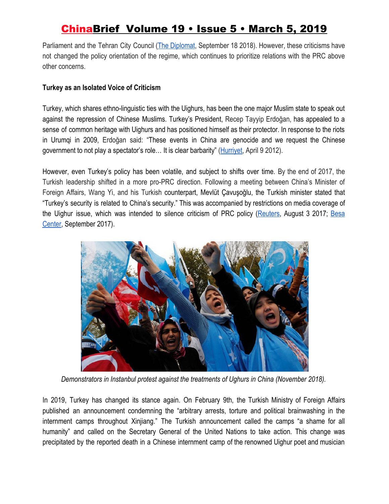Parliament and the Tehran City Council (The [Diplomat,](https://thediplomat.com/2018/09/irans-careful-approach-to-chinas-uyghur-crackdown/) September 18 2018). However, these criticisms have not changed the policy orientation of the regime, which continues to prioritize relations with the PRC above other concerns.

#### **Turkey as an Isolated Voice of Criticism**

Turkey, which shares ethno-linguistic ties with the Uighurs, has been the one major Muslim state to speak out against the repression of Chinese Muslims. Turkey's President, Recep Tayyip Erdoğan, has appealed to a sense of common heritage with Uighurs and has positioned himself as their protector. In response to the riots in Urumqi in 2009, Erdoğan said: "These events in China are genocide and we request the Chinese government to not play a spectator's role… It is clear barbarity" [\(Hurriyet,](http://www.hurriyetdailynews.com/turkish-pm-erdogan-starts-china-visit-in-urumqi-17952/) April 9 2012).

However, even Turkey's policy has been volatile, and subject to shifts over time. By the end of 2017, the Turkish leadership shifted in a more pro-PRC direction. Following a meeting between China's Minister of Foreign Affairs, Wang Yi, and his Turkish counterpart, Mevlüt Çavuşoğlu, the Turkish minister stated that "Turkey's security is related to China's security." This was accompanied by restrictions on media coverage of the Uighur issue, which was intended to silence criticism of PRC policy ([Reuters](https://www.reuters.com/article/us-china-turkey-idUSKBN1AJ1BV), August 3 2017; [Besa](https://besacenter.org/he/perspective-papers-he/%D7%A1%D7%99%D7%9F-%D7%AA%D7%95%D7%A8%D7%9B%D7%99%D7%94-%D7%99%D7%97%D7%A1%D7%99%D7%9D/) [Center,](https://besacenter.org/he/perspective-papers-he/%D7%A1%D7%99%D7%9F-%D7%AA%D7%95%D7%A8%D7%9B%D7%99%D7%94-%D7%99%D7%97%D7%A1%D7%99%D7%9D/) September 2017).



*Demonstrators in Instanbul protest against the treatments of Ughurs in China (November 2018).*

In 2019, Turkey has changed its stance again. On February 9th, the Turkish Ministry of Foreign Affairs published an announcement condemning the "arbitrary arrests, torture and political brainwashing in the internment camps throughout Xinjiang." The Turkish announcement called the camps "a shame for all humanity" and called on the Secretary General of the United Nations to take action. This change was precipitated by the reported death in a Chinese internment camp of the renowned Uighur poet and musician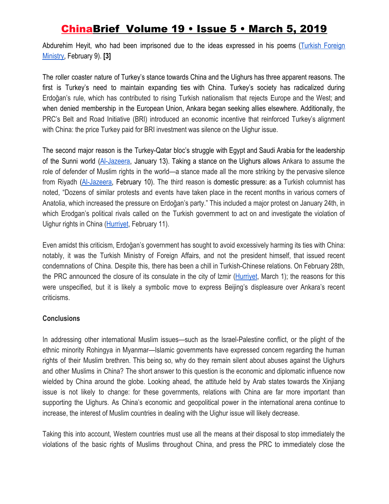Abdurehim Heyit, who had been imprisoned due to the ideas expressed in his poems (Turkish [Foreign](http://www.mfa.gov.tr/sc_-06_-uygur-turklerine-yonelik-agir-insan-haklari-ihlalleri-ve-abdurrehim-heyit-in-vefati-hk.en.mfa) [Ministry,](http://www.mfa.gov.tr/sc_-06_-uygur-turklerine-yonelik-agir-insan-haklari-ihlalleri-ve-abdurrehim-heyit-in-vefati-hk.en.mfa) February 9). **[3]**

The roller coaster nature of Turkey's stance towards China and the Uighurs has three apparent reasons. The first is Turkey's need to maintain expanding ties with China. Turkey's society has radicalized during Erdoğan's rule, which has contributed to rising Turkish nationalism that rejects Europe and the West; and when denied membership in the European Union, Ankara began seeking allies elsewhere. Additionally, the PRC's Belt and Road Initiative (BRI) introduced an economic incentive that reinforced Turkey's alignment with China: the price Turkey paid for BRI investment was silence on the Uighur issue.

The second major reason is the Turkey-Qatar bloc's struggle with Egypt and Saudi Arabia for the leadership of the Sunni world ([Al-Jazeera,](https://www.aljazeera.com/news/middleeast/2019/01/erdogan-vows-strengthen-cooperation-qatar-190113132119164.html) January 13). Taking a stance on the Uighurs allows Ankara to assume the role of defender of Muslim rights in the world—a stance made all the more striking by the pervasive silence from Riyadh [\(Al-Jazeera](https://www.aljazeera.com/news/2019/02/humanity-turkey-urges-china-close-uighur-camps-190209202215688.html), February 10). The third reason is domestic pressure: as a Turkish columnist has noted, "Dozens of similar protests and events have taken place in the recent months in various corners of Anatolia, which increased the pressure on Erdoğan's party." This included a major protest on January 24th, in which Erodgan's political rivals called on the Turkish government to act on and investigate the violation of Uighur rights in China ([Hurriyet](http://www.hurriyetdailynews.com/opinion/serkan-demirtas/turkey-hits-china-hard-over-uighur-why-now-141136), February 11).

Even amidst this criticism, Erdoğan's government has sought to avoid excessively harming its ties with China: notably, it was the Turkish Ministry of Foreign Affairs, and not the president himself, that issued recent condemnations of China. Despite this, there has been a chill in Turkish-Chinese relations. On February 28th, the PRC announced the closure of its consulate in the city of Izmir [\(Hurriyet](http://www.hurriyetdailynews.com/china-shuts-down-its-consulate-in-izmir-amid-uighur-row-141573), March 1); the reasons for this were unspecified, but it is likely a symbolic move to express Beijing's displeasure over Ankara's recent criticisms.

#### **Conclusions**

In addressing other international Muslim issues—such as the Israel-Palestine conflict, or the plight of the ethnic minority Rohingya in Myanmar—Islamic governments have expressed concern regarding the human rights of their Muslim brethren. This being so, why do they remain silent about abuses against the Uighurs and other Muslims in China? The short answer to this question is the economic and diplomatic influence now wielded by China around the globe. Looking ahead, the attitude held by Arab states towards the Xinjiang issue is not likely to change: for these governments, relations with China are far more important than supporting the Uighurs. As China's economic and geopolitical power in the international arena continue to increase, the interest of Muslim countries in dealing with the Uighur issue will likely decrease.

Taking this into account, Western countries must use all the means at their disposal to stop immediately the violations of the basic rights of Muslims throughout China, and press the PRC to immediately close the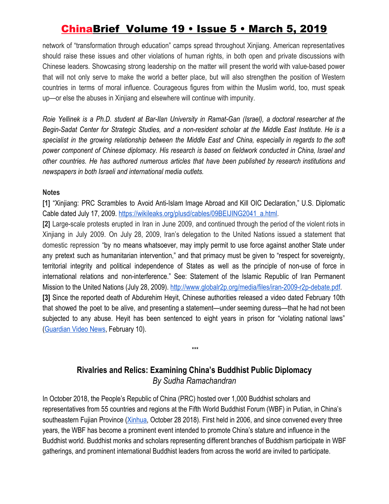network of "transformation through education" camps spread throughout Xinjiang. American representatives should raise these issues and other violations of human rights, in both open and private discussions with Chinese leaders. Showcasing strong leadership on the matter will present the world with value-based power that will not only serve to make the world a better place, but will also strengthen the position of Western countries in terms of moral influence. Courageous figures from within the Muslim world, too, must speak up—or else the abuses in Xinjiang and elsewhere will continue with impunity.

Roie Yellinek is a Ph.D. student at Bar-llan University in Ramat-Gan (Israel), a doctoral researcher at the Begin-Sadat Center for Strategic Studies, and a non-resident scholar at the Middle East Institute. He is a specialist in the growing relationship between the Middle East and China, especially in regards to the soft *power component of Chinese diplomacy. His research is based on fieldwork conducted in China, Israel and other countries. He has authored numerous articles that have been published by research institutions and newspapers in both Israeli and international media outlets.*

#### **Notes**

**[1]** "Xinjiang: PRC Scrambles to Avoid Anti-Islam Image Abroad and Kill OIC Declaration," U.S. Diplomatic Cable dated July 17, 2009. [https://wikileaks.org/plusd/cables/09BEIJING2041\\_a.html](https://wikileaks.org/plusd/cables/09BEIJING2041_a.html).

**[2]** Large-scale protests erupted in Iran in June 2009, and continued through the period of the violent riots in Xinjiang in July 2009. On July 28, 2009, Iran's delegation to the United Nations issued a statement that domestic repression "by no means whatsoever, may imply permit to use force against another State under any pretext such as humanitarian intervention," and that primacy must be given to "respect for sovereignty, territorial integrity and political independence of States as well as the principle of non-use of force in international relations and non-interference." See: Statement of the Islamic Republic of Iran Permanent Mission to the United Nations (July 28, 2009). [http://www.globalr2p.org/media/files/iran-2009-r2p-debate.pdf.](http://www.globalr2p.org/media/files/iran-2009-r2p-debate.pdf) **[3]** Since the reported death of Abdurehim Heyit, Chinese authorities released a video dated February 10th that showed the poet to be alive, and presenting a statement—under seeming duress—that he had not been subjected to any abuse. Heyit has been sentenced to eight years in prison for "violating national laws" [\(Guardian Video News,](https://www.theguardian.com/global/video/2019/feb/11/i-have-never-been-abused-says-detained-uighur-abdurehim-heyit-video) February 10).

### **Rivalries and Relics: Examining China's Buddhist Public Diplomacy** *By Sudha Ramachandran*

\*\*\*

In October 2018, the People's Republic of China (PRC) hosted over 1,000 Buddhist scholars and representatives from 55 countries and regions at the Fifth World Buddhist Forum (WBF) in Putian, in China's southeastern Fujian Province [\(Xinhua](http://www.xinhuanet.com/english/2018-10/28/c_137564569.htm), October 28 2018). First held in 2006, and since convened every three years, the WBF has become a prominent event intended to promote China's stature and influence in the Buddhist world. Buddhist monks and scholars representing different branches of Buddhism participate in WBF gatherings, and prominent international Buddhist leaders from across the world are invited to participate.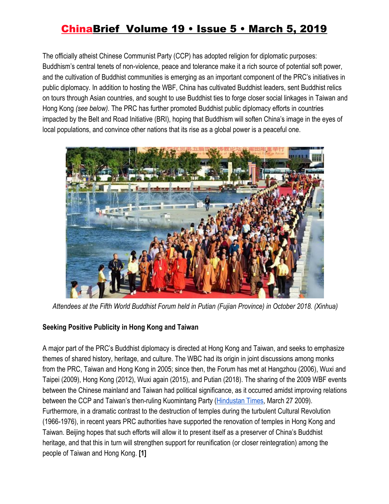The officially atheist Chinese Communist Party (CCP) has adopted religion for diplomatic purposes: Buddhism's central tenets of non-violence, peace and tolerance make it a rich source of potential soft power, and the cultivation of Buddhist communities is emerging as an important component of the PRC's initiatives in public diplomacy. In addition to hosting the WBF, China has cultivated Buddhist leaders, sent Buddhist relics on tours through Asian countries, and sought to use Buddhist ties to forge closer social linkages in Taiwan and Hong Kong *(see below).* The PRC has further promoted Buddhist public diplomacy efforts in countries impacted by the Belt and Road Initiative (BRI), hoping that Buddhism will soften China's image in the eyes of local populations, and convince other nations that its rise as a global power is a peaceful one.



*Attendees at the Fifth World Buddhist Forum held in Putian (Fujian Province) in October 2018. (Xinhua)*

#### **Seeking Positive Publicity in Hong Kong and Taiwan**

A major part of the PRC's Buddhist diplomacy is directed at Hong Kong and Taiwan, and seeks to emphasize themes of shared history, heritage, and culture. The WBC had its origin in joint discussions among monks from the PRC, Taiwan and Hong Kong in 2005; since then, the Forum has met at Hangzhou (2006), Wuxi and Taipei (2009), Hong Kong (2012), Wuxi again (2015), and Putian (2018). The sharing of the 2009 WBF events between the Chinese mainland and Taiwan had political significance, as it occurred amidst improving relations between the CCP and Taiwan's then-ruling Kuomintang Party ([Hindustan Times,](https://www.hindustantimes.com/world/china-hosts-world-buddhist-forum-sans-dala-lama/story-C0hpNLvWvwrgGWFV5e9DTJ.html) March 27 2009). Furthermore, in a dramatic contrast to the destruction of temples during the turbulent Cultural Revolution (1966-1976), in recent years PRC authorities have supported the renovation of temples in Hong Kong and Taiwan. Beijing hopes that such efforts will allow it to present itself as a preserver of China's Buddhist heritage, and that this in turn will strengthen support for reunification (or closer reintegration) among the people of Taiwan and Hong Kong. **[1]**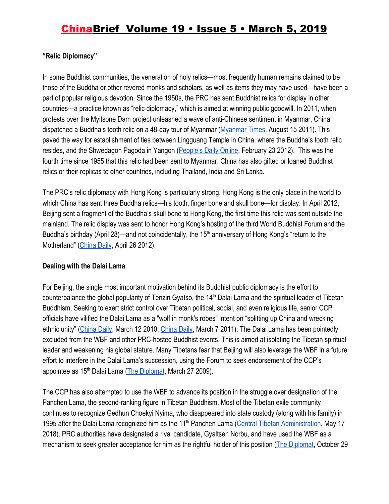### **"Relic Diplomacy"**

In some Buddhist communities, the veneration of holy relics—most frequently human remains claimed to be those of the Buddha or other revered monks and scholars, as well as items they may have used—have been a part of popular religious devotion. Since the 1950s, the PRC has sent Buddhist relics for display in other countries—a practice known as "relic diplomacy," which is aimed at winning public goodwill. In 2011, when protests over the Myitsone Dam project unleashed a wave of anti-Chinese sentiment in Myanmar, China dispatched a Buddha's tooth relic on a 48-day tour of Myanmar ([Myanmar Times,](https://www.mmtimes.com/national-news/2320-china-to-send-sacred-tooth-relic.html) August 15 2011). This paved the way for establishment of ties between Lingguang Temple in China, where the Buddha's tooth relic resides, and the Shwedagon Pagoda in Yangon [\(People's Daily Online](http://en.people.cn/90883/7737466.html), February 23 2012). This was the fourth time since 1955 that this relic had been sent to Myanmar. China has also gifted or loaned Buddhist relics or their replicas to other countries, including Thailand, India and Sri Lanka.

The PRC's relic diplomacy with Hong Kong is particularly strong. Hong Kong is the only place in the world to which China has sent three Buddha relics—his tooth, finger bone and skull bone—for display. In April 2012, Beijing sent a fragment of the Buddha's skull bone to Hong Kong, the first time this relic was sent outside the mainland. The relic display was sent to honor Hong Kong's hosting of the third World Buddhist Forum and the Buddha's birthday (April 28)—and not coincidentally, the 15<sup>th</sup> anniversary of Hong Kong's "return to the Motherland" [\(China Daily,](http://www.chinadaily.com.cn/china/2012-04/26/content_15144030.htm) April 26 2012).

#### **Dealing with the Dalai Lama**

For Beijing, the single most important motivation behind its Buddhist public diplomacy is the effort to counterbalance the global popularity of Tenzin Gyatso, the 14<sup>th</sup> Dalai Lama and the spiritual leader of Tibetan Buddhism. Seeking to exert strict control over Tibetan political, social, and even religious life, senior CCP officials have vilified the Dalai Lama as a "wolf in monk's robes" intent on "splitting up China and wrecking ethnic unity" [\(China Daily](http://www.chinadaily.com.cn/cndy/2010-03/12/content_9577442.htm), March 12 2010[;](http://www.chinadaily.com.cn/china/2011-03/07/content_12131293.htm) [China Daily](http://www.chinadaily.com.cn/china/2011-03/07/content_12131293.htm), March 7 2011). The Dalai Lama has been pointedly excluded from the WBF and other PRC-hosted Buddhist events. This is aimed at isolating the Tibetan spiritual leader and weakening his global stature. Many Tibetans fear that Beijing will also leverage the WBF in a future effort to interfere in the Dalai Lama's succession, using the Forum to seek endorsement of the CCP's appointee as 15<sup>th</sup> Dalai Lama [\(The Diplomat,](https://thediplomat.com/2018/10/the-dalai-lama-and-chinas-quest-for-buddhist-soft-power/) March 27 2009).

The CCP has also attempted to use the WBF to advance its position in the struggle over designation of the Panchen Lama, the second-ranking figure in Tibetan Buddhism. Most of the Tibetan exile community continues to recognize Gedhun Choekyi Nyima, who disappeared into state custody (along with his family) in 1995 after the Dalai Lama recognized him as the 11<sup>th</sup> Panchen Lama ([Central Tibetan Administration,](https://tibet.net/2018/05/missing-panchen-lama-in-the-international-eye/) May 17 2018). PRC authorities have designated a rival candidate, Gyaltsen Norbu, and have used the WBF as a mechanism to seek greater acceptance for him as the rightful holder of this position [\(The Diplomat,](https://thediplomat.com/2018/10/the-dalai-lama-and-chinas-quest-for-buddhist-soft-power/) October 29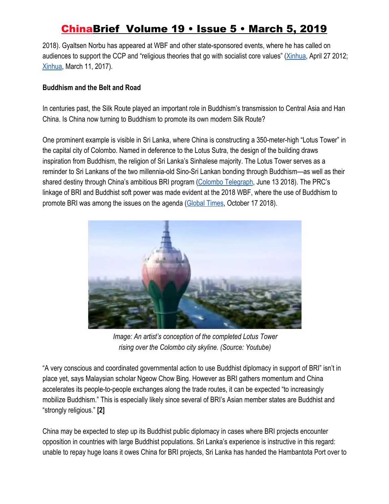2018). Gyaltsen Norbu has appeared at WBF and other state-sponsored events, where he has called on audiences to support the CCP and "religious theories that go with socialist core values" ([Xinhua,](http://en.people.cn/90782/7801346.html) April 27 2012; [Xinhua,](http://www.xinhuanet.com/english/2017-03/11/c_136121083.htm) March 11, 2017).

#### **Buddhism and the Belt and Road**

In centuries past, the Silk Route played an important role in Buddhism's transmission to Central Asia and Han China. Is China now turning to Buddhism to promote its own modern Silk Route?

One prominent example is visible in Sri Lanka, where China is constructing a 350-meter-high "Lotus Tower" in the capital city of Colombo. Named in deference to the Lotus Sutra, the design of the building draws inspiration from Buddhism, the religion of Sri Lanka's Sinhalese majority. The Lotus Tower serves as a reminder to Sri Lankans of the two millennia-old Sino-Sri Lankan bonding through Buddhism—as well as their shared destiny through China's ambitious BRI program ([Colombo Telegraph](https://www.colombotelegraph.com/index.php/is-the-colombo-lotus-tower-a-trojan-horse-from-china/), June 13 2018). The PRC's linkage of BRI and Buddhist soft power was made evident at the 2018 WBF, where the use of Buddhism to promote BRI was among the issues on the agenda ([Global Times,](http://www.globaltimes.cn/content/1123430.shtml) October 17 2018).



*Image: An artist's conception of the completed Lotus Tower rising over the Colombo city skyline. (Source: Youtube)*

"A very conscious and coordinated governmental action to use Buddhist diplomacy in support of BRI" isn't in place yet, says Malaysian scholar Ngeow Chow Bing. However as BRI gathers momentum and China accelerates its people-to-people exchanges along the trade routes, it can be expected "to increasingly mobilize Buddhism." This is especially likely since several of BRI's Asian member states are Buddhist and "strongly religious." **[2]**

China may be expected to step up its Buddhist public diplomacy in cases where BRI projects encounter opposition in countries with large Buddhist populations. Sri Lanka's experience is instructive in this regard: unable to repay huge loans it owes China for BRI projects, Sri Lanka has handed the Hambantota Port over to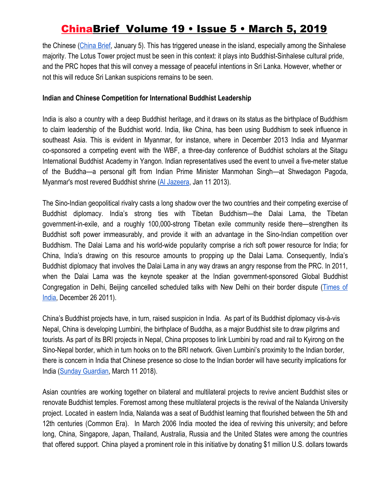the Chinese [\(China Brief](https://jamestown.org/program/beyond-debt-trap-diplomacy-the-dissemination-of-prc-state-capitalism/), January 5). This has triggered unease in the island, especially among the Sinhalese majority. The Lotus Tower project must be seen in this context: it plays into Buddhist-Sinhalese cultural pride, and the PRC hopes that this will convey a message of peaceful intentions in Sri Lanka. However, whether or not this will reduce Sri Lankan suspicions remains to be seen.

#### **Indian and Chinese Competition for International Buddhist Leadership**

India is also a country with a deep Buddhist heritage, and it draws on its status as the birthplace of Buddhism to claim leadership of the Buddhist world. India, like China, has been using Buddhism to seek influence in southeast Asia. This is evident in Myanmar, for instance, where in December 2013 India and Myanmar co-sponsored a competing event with the WBF, a three-day conference of Buddhist scholars at the Sitagu International Buddhist Academy in Yangon. Indian representatives used the event to unveil a five-meter statue of the Buddha—a personal gift from Indian Prime Minister Manmohan Singh—at Shwedagon Pagoda, Myanmar's most revered Buddhist shrine [\(Al Jazeera](https://www.aljazeera.com/indepth/features/2013/01/2013171148400871.html), Jan 11 2013).

The Sino-Indian geopolitical rivalry casts a long shadow over the two countries and their competing exercise of Buddhist diplomacy. India's strong ties with Tibetan Buddhism—the Dalai Lama, the Tibetan government-in-exile, and a roughly 100,000-strong Tibetan exile community reside there—strengthen its Buddhist soft power immeasurably, and provide it with an advantage in the Sino-Indian competition over Buddhism. The Dalai Lama and his world-wide popularity comprise a rich soft power resource for India; for China, India's drawing on this resource amounts to propping up the Dalai Lama. Consequently, India's Buddhist diplomacy that involves the Dalai Lama in any way draws an angry response from the PRC. In 2011, when the Dalai Lama was the keynote speaker at the Indian government-sponsored Global Buddhist Congregation in Delhi, Beijing cancelled scheduled talks with New Delhi on their border dispute [\(Times](https://timesofindia.indiatimes.com/india/India-China-border-talks-cancelled-over-Dalai-Lama-row-Report/articleshow/10883677.cms) of [India](https://timesofindia.indiatimes.com/india/India-China-border-talks-cancelled-over-Dalai-Lama-row-Report/articleshow/10883677.cms), December 26 2011).

China's Buddhist projects have, in turn, raised suspicion in India. As part of its Buddhist diplomacy vis-à-vis Nepal, China is developing Lumbini, the birthplace of Buddha, as a major Buddhist site to draw pilgrims and tourists. As part of its BRI projects in Nepal, China proposes to link Lumbini by road and rail to Kyirong on the Sino-Nepal border, which in turn hooks on to the BRI network. Given Lumbini's proximity to the Indian border, there is concern in India that Chinese presence so close to the Indian border will have security implications for India [\(Sunday Guardian,](https://www.sundayguardianlive.com/news/13054-china-rises-nepal-eyes-lumbini) March 11 2018).

Asian countries are working together on bilateral and multilateral projects to revive ancient Buddhist sites or renovate Buddhist temples. Foremost among these multilateral projects is the revival of the Nalanda University project. Located in eastern India, Nalanda was a seat of Buddhist learning that flourished between the 5th and 12th centuries (Common Era). In March 2006 India mooted the idea of reviving this university; and before long, China, Singapore, Japan, Thailand, Australia, Russia and the United States were among the countries that offered support. China played a prominent role in this initiative by donating \$1 million U.S. dollars towards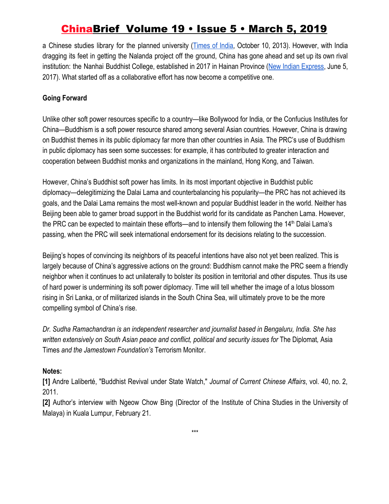a Chinese studies library for the planned university ([Times](https://timesofindia.indiatimes.com/home/education/news/India-garners-support-for-Nalanda-University-at-EAS/articleshow/23881517.cms) of India, October 10, 2013). However, with India dragging its feet in getting the Nalanda project off the ground, China has gone ahead and set up its own rival institution: the Nanhai Buddhist College, established in 2017 in Hainan Province (New Indian [Express](http://www.newindianexpress.com/nation/2017/jun/05/soft-power-china-gets-its-own-nalanda-university-shames-india-1612915.html), June 5, 2017). What started off as a collaborative effort has now become a competitive one.

#### **Going Forward**

Unlike other soft power resources specific to a country—like Bollywood for India, or the Confucius Institutes for China—Buddhism is a soft power resource shared among several Asian countries. However, China is drawing on Buddhist themes in its public diplomacy far more than other countries in Asia. The PRC's use of Buddhism in public diplomacy has seen some successes: for example, it has contributed to greater interaction and cooperation between Buddhist monks and organizations in the mainland, Hong Kong, and Taiwan.

However, China's Buddhist soft power has limits. In its most important objective in Buddhist public diplomacy—delegitimizing the Dalai Lama and counterbalancing his popularity—the PRC has not achieved its goals, and the Dalai Lama remains the most well-known and popular Buddhist leader in the world. Neither has Beijing been able to garner broad support in the Buddhist world for its candidate as Panchen Lama. However, the PRC can be expected to maintain these efforts—and to intensify them following the  $14<sup>th</sup>$  Dalai Lama's passing, when the PRC will seek international endorsement for its decisions relating to the succession.

Beijing's hopes of convincing its neighbors of its peaceful intentions have also not yet been realized. This is largely because of China's aggressive actions on the ground: Buddhism cannot make the PRC seem a friendly neighbor when it continues to act unilaterally to bolster its position in territorial and other disputes. Thus its use of hard power is undermining its soft power diplomacy. Time will tell whether the image of a lotus blossom rising in Sri Lanka, or of militarized islands in the South China Sea, will ultimately prove to be the more compelling symbol of China's rise.

*Dr. Sudha Ramachandran is an independent researcher and journalist based in Bengaluru, India. She has written extensively on South Asian peace and conflict, political and security issues for* The Diplomat*,* Asia Times *and the Jamestown Foundation's* Terrorism Monitor.

### **Notes:**

**[1]** Andre Laliberté, "Buddhist Revival under State Watch," *Journal of Current Chinese Affairs*, vol. 40, no. 2, 2011.

**[2]** Author's interview with Ngeow Chow Bing (Director of the Institute of China Studies in the University of Malaya) in Kuala Lumpur, February 21.

\*\*\*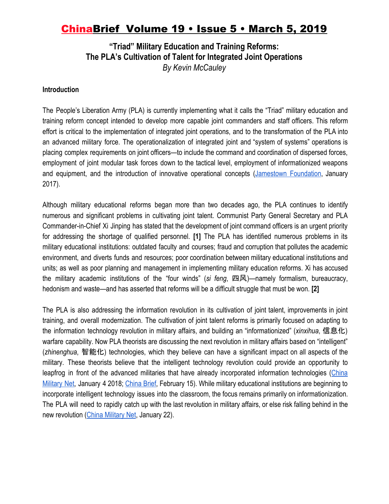### **"Triad" Military Education and Training Reforms: The PLA's Cultivation of Talent for Integrated Joint Operations** *By Kevin McCauley*

#### **Introduction**

The People's Liberation Army (PLA) is currently implementing what it calls the "Triad" military education and training reform concept intended to develop more capable joint commanders and staff officers. This reform effort is critical to the implementation of integrated joint operations, and to the transformation of the PLA into an advanced military force. The operationalization of integrated joint and "system of systems" operations is placing complex requirements on joint officers—to include the command and coordination of dispersed forces, employment of joint modular task forces down to the tactical level, employment of informationized weapons and equipment, and the introduction of innovative operational concepts ([Jamestown](https://jamestown.org/wp-content/uploads/2017/01/System-of-Systems-Enabling-Joint-Operations.pdf?x87069) Foundation, January 2017).

Although military educational reforms began more than two decades ago, the PLA continues to identify numerous and significant problems in cultivating joint talent. Communist Party General Secretary and PLA Commander-in-Chief Xi Jinping has stated that the development of joint command officers is an urgent priority for addressing the shortage of qualified personnel. **[1]** The PLA has identified numerous problems in its military educational institutions: outdated faculty and courses; fraud and corruption that pollutes the academic environment, and diverts funds and resources; poor coordination between military educational institutions and units; as well as poor planning and management in implementing military education reforms. Xi has accused the military academic institutions of the "four winds" (*si feng*, 四风)—namely formalism, bureaucracy, hedonism and waste—and has asserted that reforms will be a difficult struggle that must be won. **[2]**

The PLA is also addressing the information revolution in its cultivation of joint talent, improvements in joint training, and overall modernization. The cultivation of joint talent reforms is primarily focused on adapting to the information technology revolution in military affairs, and building an "informationized" (*xinxihua*, 信息化) warfare capability. Now PLA theorists are discussing the next revolution in military affairs based on "intelligent" (*zhinenghua*, 智能化) technologies, which they believe can have a significant impact on all aspects of the military. These theorists believe that the intelligent technology revolution could provide an opportunity to leapfrog in front of the advanced militaries that have already incorporated information technologies ([China](http://www.81.cn/jfjbmap/content/2018-01/04/content_196178.htm) [Military](http://www.81.cn/jfjbmap/content/2018-01/04/content_196178.htm) Net, January 4 2018[;](https://jamestown.org/program/a-smarter-battlefield-pla-concepts-for-intelligent-operations-begin-to-take-shape/) [China](https://jamestown.org/program/a-smarter-battlefield-pla-concepts-for-intelligent-operations-begin-to-take-shape/) Brief, February 15). While military educational institutions are beginning to incorporate intelligent technology issues into the classroom, the focus remains primarily on informationization. The PLA will need to rapidly catch up with the last revolution in military affairs, or else risk falling behind in the new revolution [\(China Military Net](http://www.81.cn/jfjbmap/content/2019-01/22/content_225884.htm), January 22).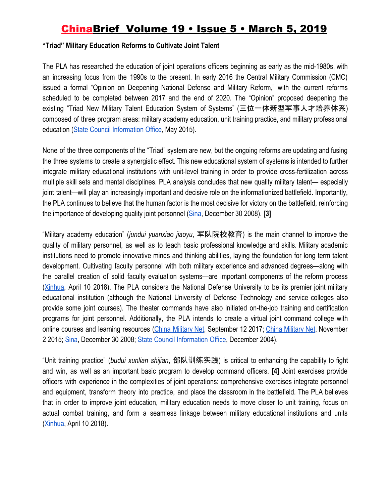#### **"Triad" Military Education Reforms to Cultivate Joint Talent**

The PLA has researched the education of joint operations officers beginning as early as the mid-1980s, with an increasing focus from the 1990s to the present. In early 2016 the Central Military Commission (CMC) issued a formal "Opinion on Deepening National Defense and Military Reform," with the current reforms scheduled to be completed between 2017 and the end of 2020. The "Opinion" proposed deepening the existing "Triad New Military Talent Education System of Systems" (三位一体新型军事人才培养体系) composed of three program areas: military academy education, unit training practice, and military professional education ([State Council Information Office,](http://www.scio.gov.cn/zfbps/ndhf/2015/Document/1435159/1435159.htm) May 2015).

None of the three components of the "Triad" system are new, but the ongoing reforms are updating and fusing the three systems to create a synergistic effect. This new educational system of systems is intended to further integrate military educational institutions with unit-level training in order to provide cross-fertilization across multiple skill sets and mental disciplines. PLA analysis concludes that new quality military talent— especially joint talent—will play an increasingly important and decisive role on the informationized battlefield. Importantly, the PLA continues to believe that the human factor is the most decisive for victory on the battlefield, reinforcing the importance of developing quality joint personnel [\(Sina](http://mil.news.sina.com.cn/2008-12-30/0720536852.html), December 30 2008). **[3]**

"Military academy education" (*jundui yuanxiao jiaoyu*, 军队院校教育) is the main channel to improve the quality of military personnel, as well as to teach basic professional knowledge and skills. Military academic institutions need to promote innovative minds and thinking abilities, laying the foundation for long term talent development. Cultivating faculty personnel with both military experience and advanced degrees—along with the parallel creation of solid faculty evaluation systems—are important components of the reform process [\(Xinhua,](http://www.xinhuanet.com/mil/2018-04/10/c_129847159.htm) April 10 2018). The PLA considers the National Defense University to be its premier joint military educational institution (although the National University of Defense Technology and service colleges also provide some joint courses). The theater commands have also initiated on-the-job training and certification programs for joint personnel. Additionally, the PLA intends to create a virtual joint command college with online courses and learning resources (China [Military](http://www.81.cn/jwgz/2017-09/12/content_7752193.htm) Net, September 12 2017[;](http://www.81.cn/jwgz/2015-11/02/content_6748927.htm) China [Military](http://www.81.cn/jwgz/2015-11/02/content_6748927.htm) Net, November 2 2015; [Sina](http://mil.news.sina.com.cn/2008-12-30/0720536852.html), December 30 2008[;](http://en.people.cn/whitepaper/defense2004/defense2004.html) [State Council Information Office,](http://en.people.cn/whitepaper/defense2004/defense2004.html) December 2004).

"Unit training practice" (*budui xunlian shijian*, 部队训练实践) is critical to enhancing the capability to fight and win, as well as an important basic program to develop command officers. **[4]** Joint exercises provide officers with experience in the complexities of joint operations: comprehensive exercises integrate personnel and equipment, transform theory into practice, and place the classroom in the battlefield. The PLA believes that in order to improve joint education, military education needs to move closer to unit training, focus on actual combat training, and form a seamless linkage between military educational institutions and units [\(Xinhua,](http://www.xinhuanet.com/mil/2018-04/10/c_129847159.htm) April 10 2018).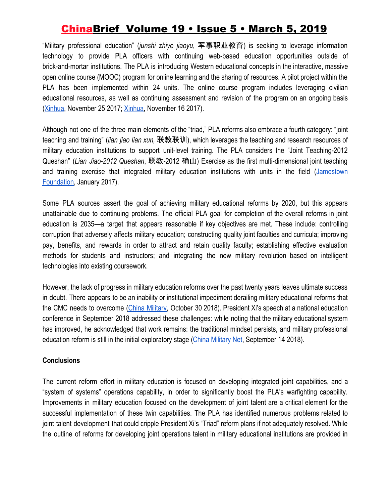"Military professional education" (*junshi zhiye jiaoyu*, 军事职业教育) is seeking to leverage information technology to provide PLA officers with continuing web-based education opportunities outside of brick-and-mortar institutions. The PLA is introducing Western educational concepts in the interactive, massive open online course (MOOC) program for online learning and the sharing of resources. A pilot project within the PLA has been implemented within 24 units. The online course program includes leveraging civilian educational resources, as well as continuing assessment and revision of the program on an ongoing basis [\(Xinhua,](http://www.xinhuanet.com/mil/2017-11/25/c_129749290.htm) November 25 2017; [Xinhua](http://www.xinhuanet.com/2017-11/16/c_1121967603.htm), November 16 2017).

Although not one of the three main elements of the "triad," PLA reforms also embrace a fourth category: "joint teaching and training" (*lian jiao lian xun,* 联教联训), which leverages the teaching and research resources of military education institutions to support unit-level training. The PLA considers the "Joint Teaching-2012 Queshan" (*Lian Jiao-2012 Queshan*, 联教-2012 确山) Exercise as the first multi-dimensional joint teaching and training exercise that integrated military education institutions with units in the field [\(Jamestown](https://jamestown.org/wp-content/uploads/2017/01/System-of-Systems-Enabling-Joint-Operations.pdf?x87069) [Foundation](https://jamestown.org/wp-content/uploads/2017/01/System-of-Systems-Enabling-Joint-Operations.pdf?x87069), January 2017).

Some PLA sources assert the goal of achieving military educational reforms by 2020, but this appears unattainable due to continuing problems. The official PLA goal for completion of the overall reforms in joint education is 2035—a target that appears reasonable if key objectives are met. These include: controlling corruption that adversely affects military education; constructing quality joint faculties and curricula; improving pay, benefits, and rewards in order to attract and retain quality faculty; establishing effective evaluation methods for students and instructors; and integrating the new military revolution based on intelligent technologies into existing coursework.

However, the lack of progress in military education reforms over the past twenty years leaves ultimate success in doubt. There appears to be an inability or institutional impediment derailing military educational reforms that the CMC needs to overcome (China [Military](http://www.81.cn/jfjbmap/content/2018-10/30/content_219407.htm), October 30 2018). President Xi's speech at a national education conference in September 2018 addressed these challenges: while noting that the military educational system has improved, he acknowledged that work remains: the traditional mindset persists, and military professional education reform is still in the initial exploratory stage ([China Military Net,](http://www.81.cn/jfjbmap/content/2018-09/14/content_215845.htm) September 14 2018).

#### **Conclusions**

The current reform effort in military education is focused on developing integrated joint capabilities, and a "system of systems" operations capability, in order to significantly boost the PLA's warfighting capability. Improvements in military education focused on the development of joint talent are a critical element for the successful implementation of these twin capabilities. The PLA has identified numerous problems related to joint talent development that could cripple President Xi's "Triad" reform plans if not adequately resolved. While the outline of reforms for developing joint operations talent in military educational institutions are provided in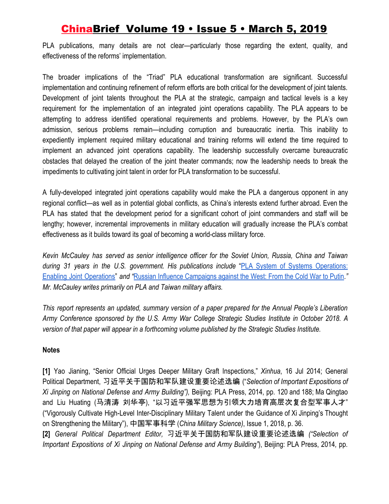PLA publications, many details are not clear—particularly those regarding the extent, quality, and effectiveness of the reforms' implementation.

The broader implications of the "Triad" PLA educational transformation are significant. Successful implementation and continuing refinement of reform efforts are both critical for the development of joint talents. Development of joint talents throughout the PLA at the strategic, campaign and tactical levels is a key requirement for the implementation of an integrated joint operations capability. The PLA appears to be attempting to address identified operational requirements and problems. However, by the PLA's own admission, serious problems remain—including corruption and bureaucratic inertia. This inability to expediently implement required military educational and training reforms will extend the time required to implement an advanced joint operations capability. The leadership successfully overcame bureaucratic obstacles that delayed the creation of the joint theater commands; now the leadership needs to break the impediments to cultivating joint talent in order for PLA transformation to be successful.

A fully-developed integrated joint operations capability would make the PLA a dangerous opponent in any regional conflict—as well as in potential global conflicts, as China's interests extend further abroad. Even the PLA has stated that the development period for a significant cohort of joint commanders and staff will be lengthy; however, incremental improvements in military education will gradually increase the PLA's combat effectiveness as it builds toward its goal of becoming a world-class military force.

*Kevin McCauley has served as senior intelligence officer for the Soviet Union, Russia, China and Taiwan during 31 years in the U.S. government. His publications include* "PLA System of Systems [Operations:](https://jamestown.org/product/pla-system-systems-operations-enabling-joint-operations-kevin-mccauley/) Enabling Joint [Operations"](https://jamestown.org/product/pla-system-systems-operations-enabling-joint-operations-kevin-mccauley/) *and "*Russian Influence [Campaigns](https://www.amazon.com/Russian-Influence-Campaigns-against-West/dp/1535597097/ref=sr_1_1?ie=UTF8&qid=1479158716&sr=8-1&keywords=russian+influence+campaigns+against+the+west) against the West: From the Cold War to Putin.*" Mr. McCauley writes primarily on PLA and Taiwan military affairs.*

*This report represents an updated, summary version of a paper prepared for the Annual People's Liberation Army Conference sponsored by the U.S. Army War College Strategic Studies Institute in October 2018. A version of that paper will appear in a forthcoming volume published by the Strategic Studies Institute.*

#### **Notes**

**[1]** Yao Jianing, "Senior Official Urges Deeper Military Graft Inspections," *Xinhua*, 16 Jul 2014; General Political Department, 习近平关于国防和军队建设重要论述选编 ("*Selection of Important Expositions of Xi Jinping on National Defense and Army Building"),* Beijing: PLA Press, 2014, pp. 120 and 188; Ma Qingtao and Liu Huating (马清涛 刘华亭), "以习近平强军思想为引领大力培育高层次复合型军事人才" ("Vigorously Cultivate High-Level Inter-Disciplinary Military Talent under the Guidance of Xi Jinping's Thought on Strengthening the Military"), 中国军事科学 (*China Military Science)*, Issue 1, 2018, p. 36.

**[2]** *General Political Department Editor,* 习近平关于国防和军队建设重要论述选编 *("Selection of Important Expositions of Xi Jinping on National Defense and Army Building"*), Beijing: PLA Press, 2014*,* pp.